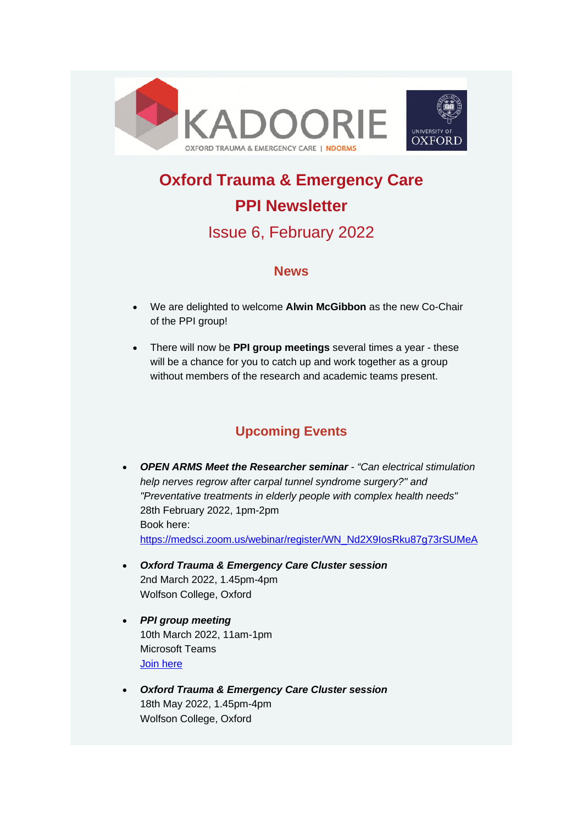



# **Oxford Trauma & Emergency Care PPI Newsletter**

# Issue 6, February 2022

#### **News**

- We are delighted to welcome **Alwin McGibbon** as the new Co-Chair of the PPI group!
- There will now be **PPI group meetings** several times a year these will be a chance for you to catch up and work together as a group without members of the research and academic teams present.

## **Upcoming Events**

- *OPEN ARMS Meet the Researcher seminar "Can electrical stimulation help nerves regrow after carpal tunnel syndrome surgery?" and "Preventative treatments in elderly people with complex health needs"*  28th February 2022, 1pm-2pm Book here: [https://medsci.zoom.us/webinar/register/WN\\_Nd2X9IosRku87g73rSUMeA](https://medsci.zoom.us/webinar/register/WN_Nd2X9IosRku87g73rSUMeA)
- *Oxford Trauma & Emergency Care Cluster session* 2nd March 2022, 1.45pm-4pm Wolfson College, Oxford
- *PPI group meeting* 10th March 2022, 11am-1pm Microsoft Teams [Join here](https://teams.microsoft.com/l/meetup-join/19%3ameeting_M2U0OGVlYTEtZGJjNy00YjU2LTlhYzgtMDdjY2JlNDU3ZTVh%40thread.v2/0?context=%7b%22Tid%22%3a%22cc95de1b-97f5-4f93-b4ba-fe68b852cf91%22%2c%22Oid%22%3a%22c831fddf-6743-4a7c-b7ff-dc13983fcc0c%22%7d)
- *Oxford Trauma & Emergency Care Cluster session* 18th May 2022, 1.45pm-4pm Wolfson College, Oxford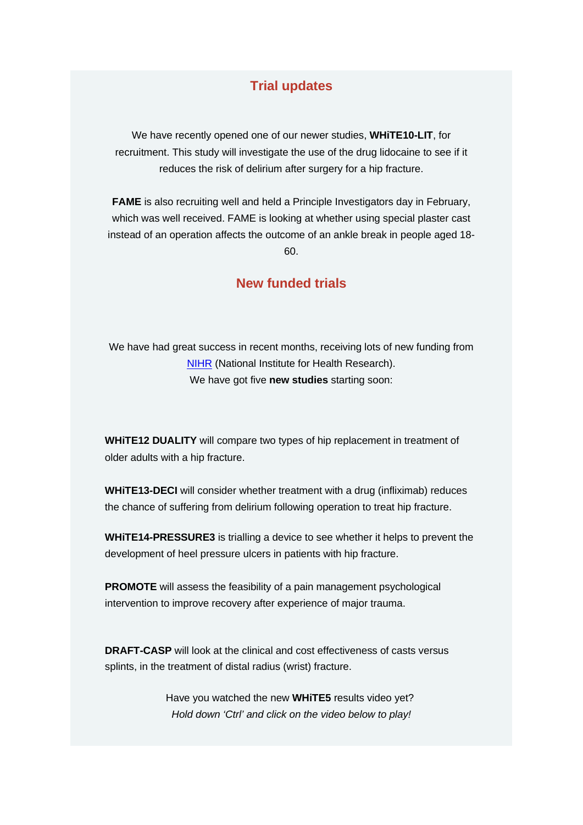#### **Trial updates**

We have recently opened one of our newer studies, **WHiTE10-LIT**, for recruitment. This study will investigate the use of the drug lidocaine to see if it reduces the risk of delirium after surgery for a hip fracture.

**FAME** is also recruiting well and held a Principle Investigators day in February, which was well received. FAME is looking at whether using special plaster cast instead of an operation affects the outcome of an ankle break in people aged 18- 60.

#### **New funded trials**

We have had great success in recent months, receiving lots of new funding from [NIHR](https://www.nihr.ac.uk/) (National Institute for Health Research). We have got five **new studies** starting soon:

**WHiTE12 DUALITY** will compare two types of hip replacement in treatment of older adults with a hip fracture.

**WHiTE13-DECI** will consider whether treatment with a drug (infliximab) reduces the chance of suffering from delirium following operation to treat hip fracture.

**WHiTE14-PRESSURE3** is trialling a device to see whether it helps to prevent the development of heel pressure ulcers in patients with hip fracture.

**PROMOTE** will assess the feasibility of a pain management psychological intervention to improve recovery after experience of major trauma.

**DRAFT-CASP** will look at the clinical and cost effectiveness of casts versus splints, in the treatment of distal radius (wrist) fracture.

> Have you watched the new **WHiTE5** results video yet? *Hold down 'Ctrl' and click on the video below to play!*